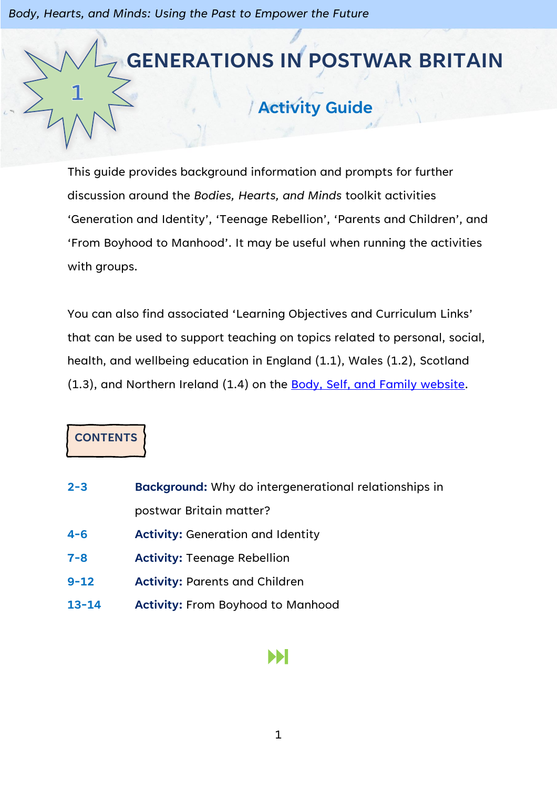# **GENERATIONS IN POSTWAR BRITAIN Activity Guide**

This guide provides background information and prompts for further discussion around the *Bodies, Hearts, and Minds* toolkit activities 'Generation and Identity', 'Teenage Rebellion', 'Parents and Children', and 'From Boyhood to Manhood'. It may be useful when running the activities with groups.

You can also find associated 'Learning Objectives and Curriculum Links' that can be used to support teaching on topics related to personal, social, health, and wellbeing education in England (1.1), Wales (1.2), Scotland (1.3), and Northern Ireland (1.4) on the [Body, Self, and Family website.](https://bodyselffamily.org/)

# **CONTENTS**

- **2-3 Background:** Why do intergenerational relationships in postwar Britain matter?
- **4-6 Activity:** Generation and Identity
- **7-8 Activity:** Teenage Rebellion
- **9-12 Activity:** Parents and Children
- **13-14 Activity:** From Boyhood to Manhood

# ÞН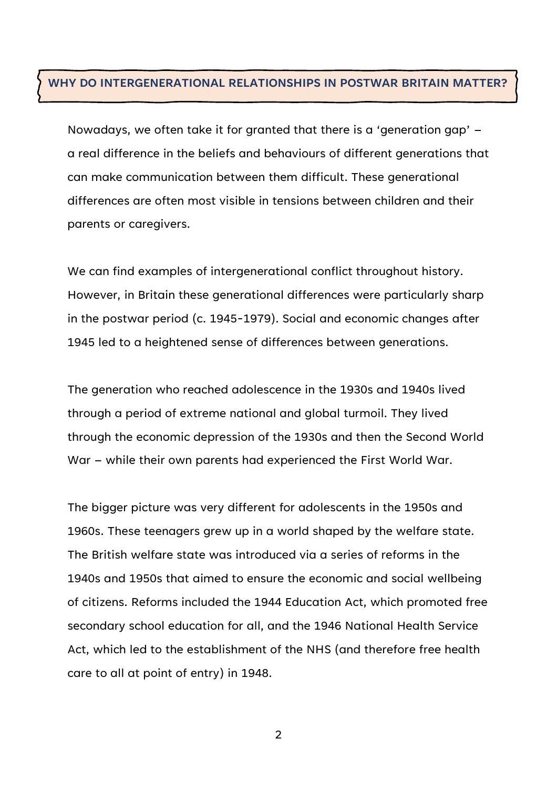#### **WHY DO INTERGENERATIONAL RELATIONSHIPS IN POSTWAR BRITAIN MATTER?**

Nowadays, we often take it for granted that there is a 'generation gap' – a real difference in the beliefs and behaviours of different generations that can make communication between them difficult. These generational differences are often most visible in tensions between children and their parents or caregivers.

We can find examples of intergenerational conflict throughout history. However, in Britain these generational differences were particularly sharp in the postwar period (c. 1945-1979). Social and economic changes after 1945 led to a heightened sense of differences between generations.

The generation who reached adolescence in the 1930s and 1940s lived through a period of extreme national and global turmoil. They lived through the economic depression of the 1930s and then the Second World War – while their own parents had experienced the First World War.

The bigger picture was very different for adolescents in the 1950s and 1960s. These teenagers grew up in a world shaped by the welfare state. The British welfare state was introduced via a series of reforms in the 1940s and 1950s that aimed to ensure the economic and social wellbeing of citizens. Reforms included the 1944 Education Act, which promoted free secondary school education for all, and the 1946 National Health Service Act, which led to the establishment of the NHS (and therefore free health care to all at point of entry) in 1948.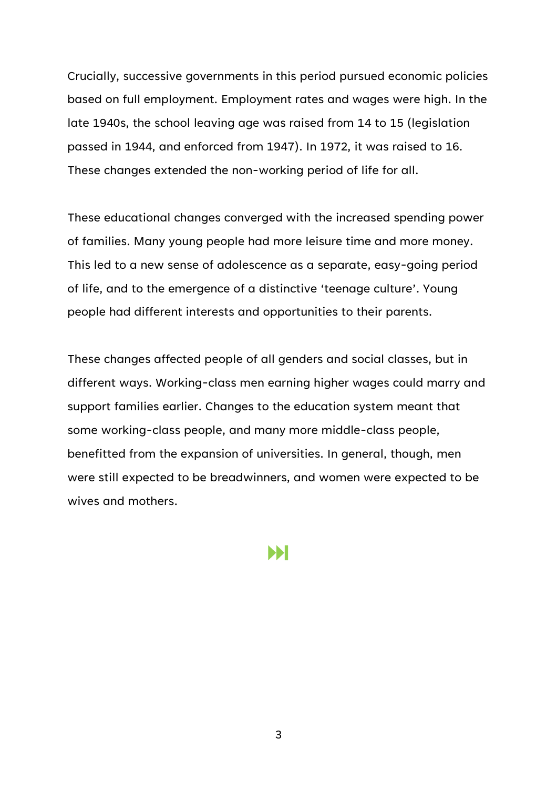Crucially, successive governments in this period pursued economic policies based on full employment. Employment rates and wages were high. In the late 1940s, the school leaving age was raised from 14 to 15 (legislation passed in 1944, and enforced from 1947). In 1972, it was raised to 16. These changes extended the non-working period of life for all.

These educational changes converged with the increased spending power of families. Many young people had more leisure time and more money. This led to a new sense of adolescence as a separate, easy-going period of life, and to the emergence of a distinctive 'teenage culture'. Young people had different interests and opportunities to their parents.

These changes affected people of all genders and social classes, but in different ways. Working-class men earning higher wages could marry and support families earlier. Changes to the education system meant that some working-class people, and many more middle-class people, benefitted from the expansion of universities. In general, though, men were still expected to be breadwinners, and women were expected to be wives and mothers.

Ы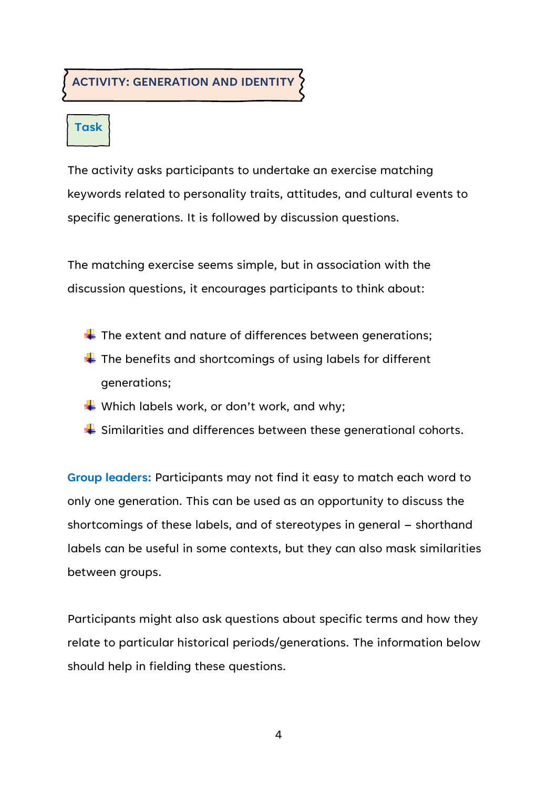#### **ACTIVITY: GENERATION AND IDENTITY**

# **Task**

The activity asks participants to undertake an exercise matching keywords related to personality traits, attitudes, and cultural events to specific generations. It is followed by discussion questions.

The matching exercise seems simple, but in association with the discussion questions, it encourages participants to think about:

- $\overline{\textbf{I}}$  The extent and nature of differences between generations;
- $\downarrow$  The benefits and shortcomings of using labels for different generations;
- Which labels work, or don't work, and why;
- $\frac{1}{2}$  Similarities and differences between these generational cohorts.

**Group leaders:** Participants may not find it easy to match each word to only one generation. This can be used as an opportunity to discuss the shortcomings of these labels, and of stereotypes in general – shorthand labels can be useful in some contexts, but they can also mask similarities between groups.

Participants might also ask questions about specific terms and how they relate to particular historical periods/generations. The information below should help in fielding these questions.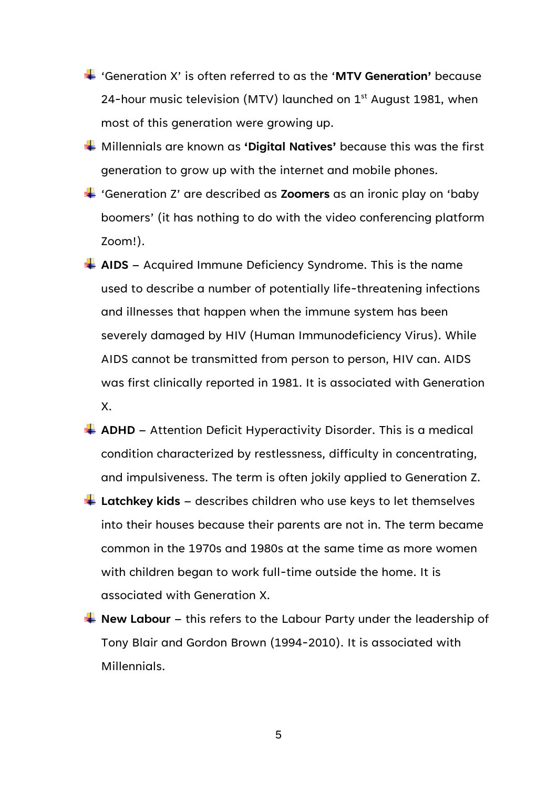- 'Generation X' is often referred to as the '**MTV Generation'** because 24-hour music television (MTV) launched on  $1<sup>st</sup>$  August 1981, when most of this generation were growing up.
- Millennials are known as **'Digital Natives'** because this was the first generation to grow up with the internet and mobile phones.
- 'Generation Z' are described as **Zoomers** as an ironic play on 'baby boomers' (it has nothing to do with the video conferencing platform Zoom!).
- **AIDS** Acquired Immune Deficiency Syndrome. This is the name used to describe a number of potentially life-threatening infections and illnesses that happen when the immune system has been severely damaged by HIV (Human Immunodeficiency Virus). While AIDS cannot be transmitted from person to person, HIV can. AIDS was first clinically reported in 1981. It is associated with Generation X.
- **ADHD** Attention Deficit Hyperactivity Disorder. This is a medical condition characterized by restlessness, difficulty in concentrating, and impulsiveness. The term is often jokily applied to Generation Z.
- **Latchkey kids** describes children who use keys to let themselves into their houses because their parents are not in. The term became common in the 1970s and 1980s at the same time as more women with children began to work full-time outside the home. It is associated with Generation X.
- **New Labour** this refers to the Labour Party under the leadership of Tony Blair and Gordon Brown (1994-2010). It is associated with Millennials.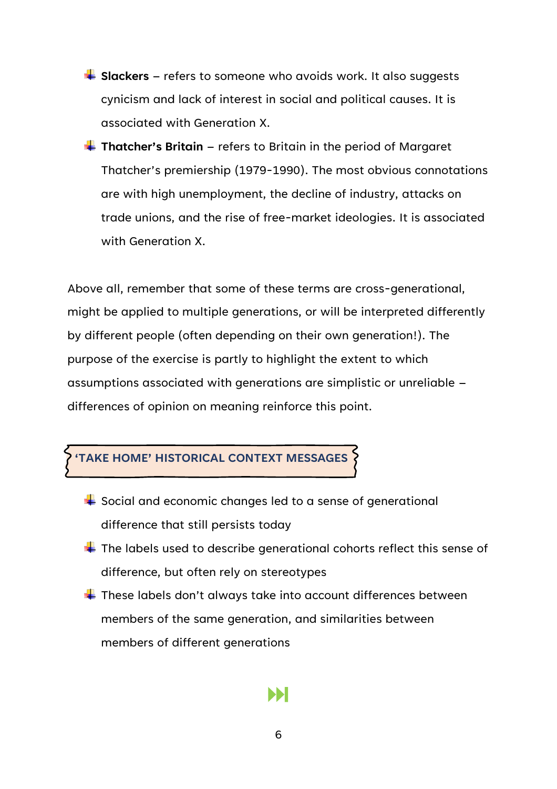- **Example 3 Slackers** refers to someone who avoids work. It also suggests cynicism and lack of interest in social and political causes. It is associated with Generation X.
- **Thatcher's Britain** refers to Britain in the period of Margaret Thatcher's premiership (1979-1990). The most obvious connotations are with high unemployment, the decline of industry, attacks on trade unions, and the rise of free-market ideologies. It is associated with Generation X.

Above all, remember that some of these terms are cross-generational, might be applied to multiple generations, or will be interpreted differently by different people (often depending on their own generation!). The purpose of the exercise is partly to highlight the extent to which assumptions associated with generations are simplistic or unreliable – differences of opinion on meaning reinforce this point.



- $\frac{1}{2}$  Social and economic changes led to a sense of generational difference that still persists today
- $\ddot{\bullet}$  The labels used to describe generational cohorts reflect this sense of difference, but often rely on stereotypes
- $\ddot$  These labels don't always take into account differences between members of the same generation, and similarities between members of different generations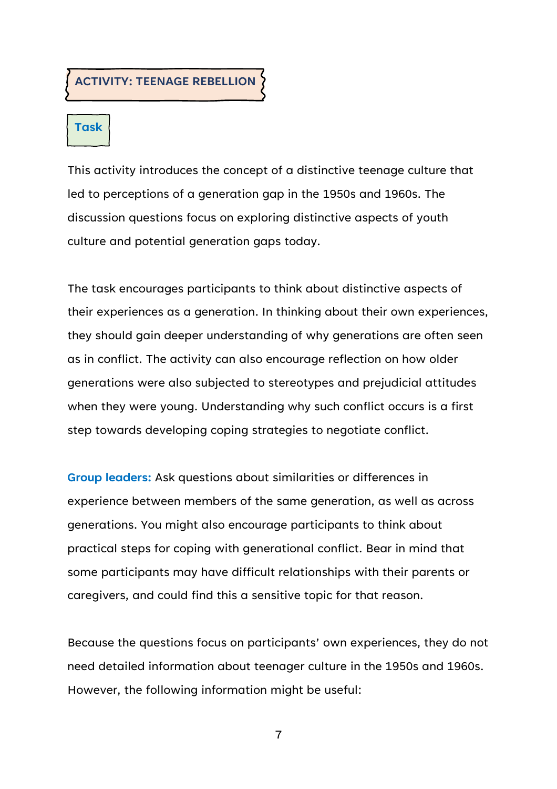**ACTIVITY: TEENAGE REBELLION**

### **Task**

This activity introduces the concept of a distinctive teenage culture that led to perceptions of a generation gap in the 1950s and 1960s. The discussion questions focus on exploring distinctive aspects of youth culture and potential generation gaps today.

The task encourages participants to think about distinctive aspects of their experiences as a generation. In thinking about their own experiences, they should gain deeper understanding of why generations are often seen as in conflict. The activity can also encourage reflection on how older generations were also subjected to stereotypes and prejudicial attitudes when they were young. Understanding why such conflict occurs is a first step towards developing coping strategies to negotiate conflict.

**Group leaders:** Ask questions about similarities or differences in experience between members of the same generation, as well as across generations. You might also encourage participants to think about practical steps for coping with generational conflict. Bear in mind that some participants may have difficult relationships with their parents or caregivers, and could find this a sensitive topic for that reason.

Because the questions focus on participants' own experiences, they do not need detailed information about teenager culture in the 1950s and 1960s. However, the following information might be useful: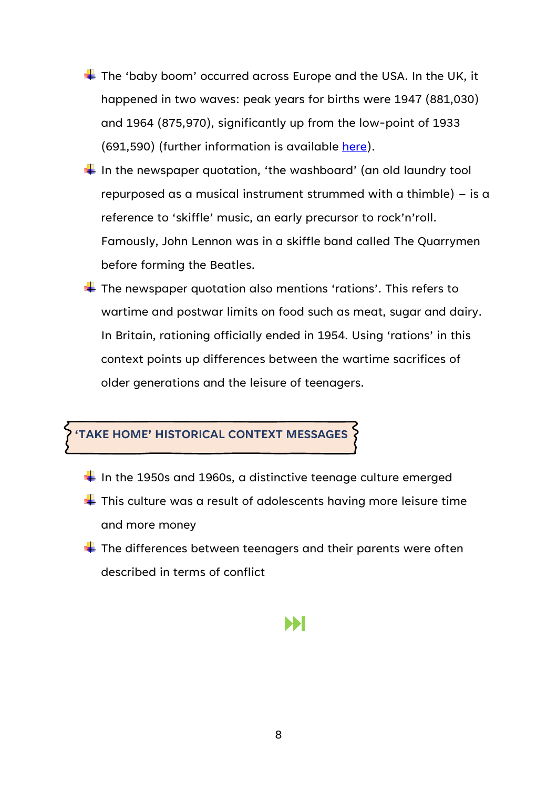- $\div$  The 'baby boom' occurred across Europe and the USA. In the UK, it happened in two waves: peak years for births were 1947 (881,030) and 1964 (875,970), significantly up from the low-point of 1933 (691,590) (further information is available [here\)](https://www.ons.gov.uk/peoplepopulationandcommunity/birthsdeathsandmarriages/livebirths/articles/trendsinbirthsanddeathsoverthelastcentury/2015-07-15).
- $\frac{1}{2}$  In the newspaper quotation, 'the washboard' (an old laundry tool repurposed as a musical instrument strummed with a thimble) – is a reference to 'skiffle' music, an early precursor to rock'n'roll. Famously, John Lennon was in a skiffle band called The Quarrymen before forming the Beatles.
- $\ddotplus$  The newspaper quotation also mentions 'rations'. This refers to wartime and postwar limits on food such as meat, sugar and dairy. In Britain, rationing officially ended in 1954. Using 'rations' in this context points up differences between the wartime sacrifices of older generations and the leisure of teenagers.

#### **'TAKE HOME' HISTORICAL CONTEXT MESSAGES**

- $\frac{1}{2}$  In the 1950s and 1960s, a distinctive teenage culture emerged
- $\blacktriangleright$  This culture was a result of adolescents having more leisure time and more money
- $\frac{1}{\sqrt{2}}$  The differences between teenagers and their parents were often described in terms of conflict

#### Ы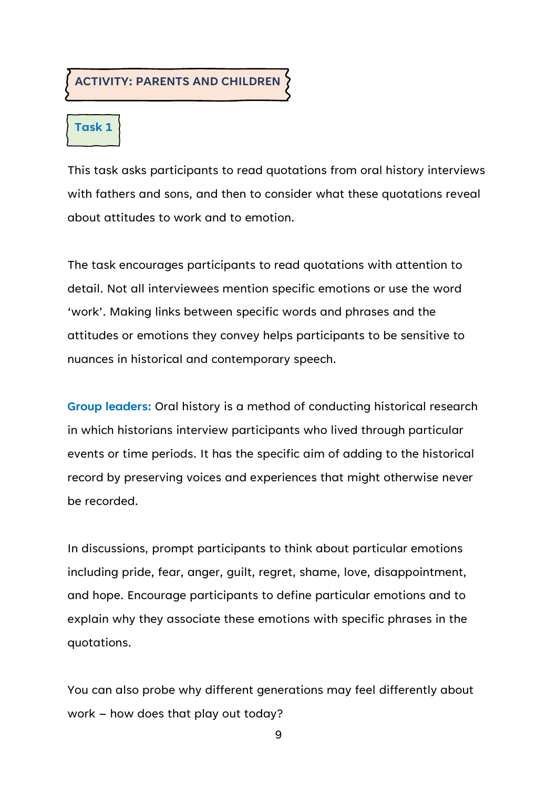#### **ACTIVITY: PARENTS AND CHILDREN**

## **Task 1**

This task asks participants to read quotations from oral history interviews with fathers and sons, and then to consider what these quotations reveal about attitudes to work and to emotion.

The task encourages participants to read quotations with attention to detail. Not all interviewees mention specific emotions or use the word 'work'. Making links between specific words and phrases and the attitudes or emotions they convey helps participants to be sensitive to nuances in historical and contemporary speech.

**Group leaders:** Oral history is a method of conducting historical research in which historians interview participants who lived through particular events or time periods. It has the specific aim of adding to the historical record by preserving voices and experiences that might otherwise never be recorded.

In discussions, prompt participants to think about particular emotions including pride, fear, anger, guilt, regret, shame, love, disappointment, and hope. Encourage participants to define particular emotions and to explain why they associate these emotions with specific phrases in the quotations.

You can also probe why different generations may feel differently about work – how does that play out today?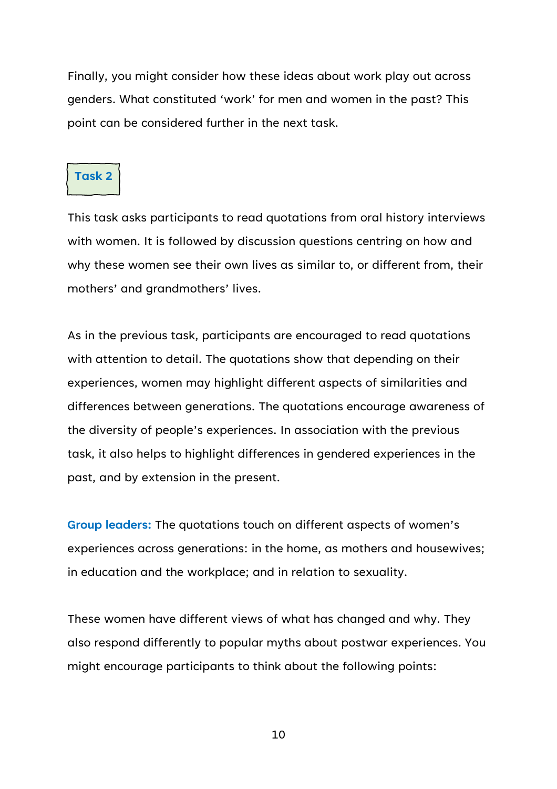Finally, you might consider how these ideas about work play out across genders. What constituted 'work' for men and women in the past? This point can be considered further in the next task.

#### **Task 2**

This task asks participants to read quotations from oral history interviews with women. It is followed by discussion questions centring on how and why these women see their own lives as similar to, or different from, their mothers' and grandmothers' lives.

As in the previous task, participants are encouraged to read quotations with attention to detail. The quotations show that depending on their experiences, women may highlight different aspects of similarities and differences between generations. The quotations encourage awareness of the diversity of people's experiences. In association with the previous task, it also helps to highlight differences in gendered experiences in the past, and by extension in the present.

**Group leaders:** The quotations touch on different aspects of women's experiences across generations: in the home, as mothers and housewives; in education and the workplace; and in relation to sexuality.

These women have different views of what has changed and why. They also respond differently to popular myths about postwar experiences. You might encourage participants to think about the following points: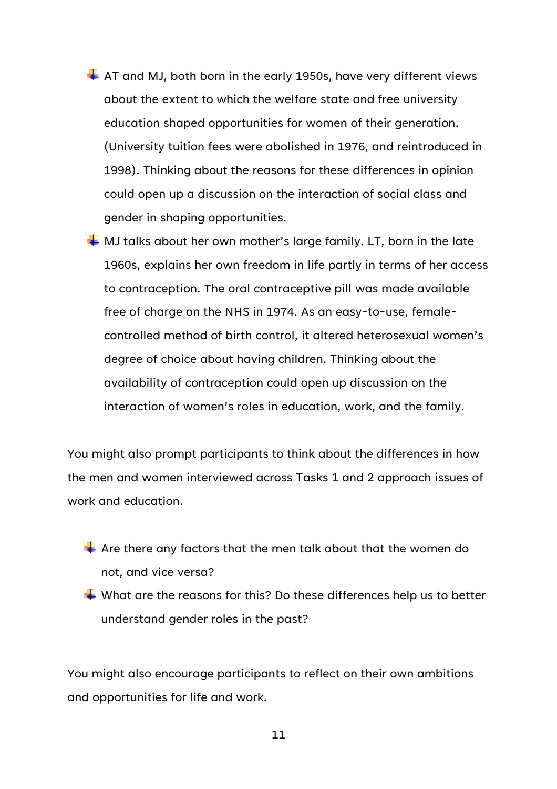- $\overline{\phantom{a}}$  AT and MJ, both born in the early 1950s, have very different views about the extent to which the welfare state and free university education shaped opportunities for women of their generation. (University tuition fees were abolished in 1976, and reintroduced in 1998). Thinking about the reasons for these differences in opinion could open up a discussion on the interaction of social class and gender in shaping opportunities.
- $\frac{1}{2}$  MJ talks about her own mother's large family. LT, born in the late 1960s, explains her own freedom in life partly in terms of her access to contraception. The oral contraceptive pill was made available free of charge on the NHS in 1974. As an easy-to-use, femalecontrolled method of birth control, it altered heterosexual women's degree of choice about having children. Thinking about the availability of contraception could open up discussion on the interaction of women's roles in education, work, and the family.

You might also prompt participants to think about the differences in how the men and women interviewed across Tasks 1 and 2 approach issues of work and education.

- $\leftarrow$  Are there any factors that the men talk about that the women do not, and vice versa?
- $\ddotplus$  What are the reasons for this? Do these differences help us to better understand gender roles in the past?

You might also encourage participants to reflect on their own ambitions and opportunities for life and work.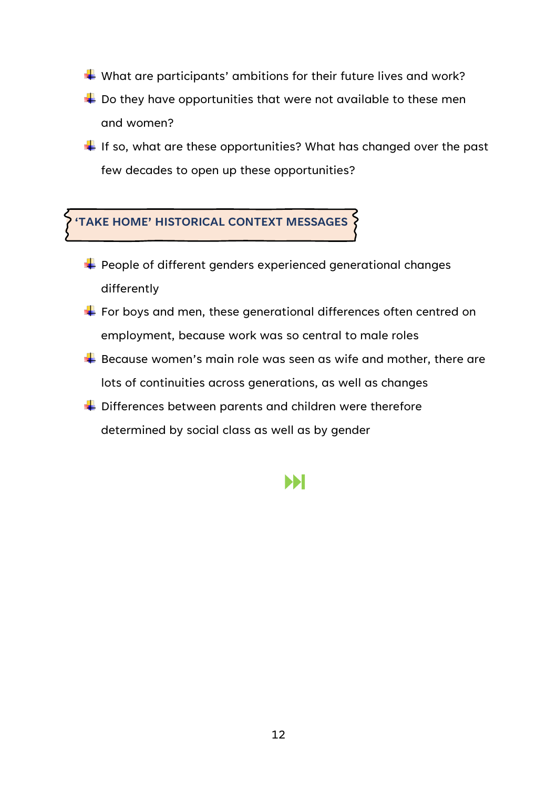$\div$  What are participants' ambitions for their future lives and work?

- $\overline{\phantom{a}}$  Do they have opportunities that were not available to these men and women?
- $\ddotplus$  If so, what are these opportunities? What has changed over the past few decades to open up these opportunities?

# **'TAKE HOME' HISTORICAL CONTEXT MESSAGES**

- $\div$  People of different genders experienced generational changes differently
- $\div$  For boys and men, these generational differences often centred on employment, because work was so central to male roles
- $\overline{\textbf{B}}$  Because women's main role was seen as wife and mother, there are lots of continuities across generations, as well as changes
- $\frac{1}{2}$  Differences between parents and children were therefore determined by social class as well as by gender

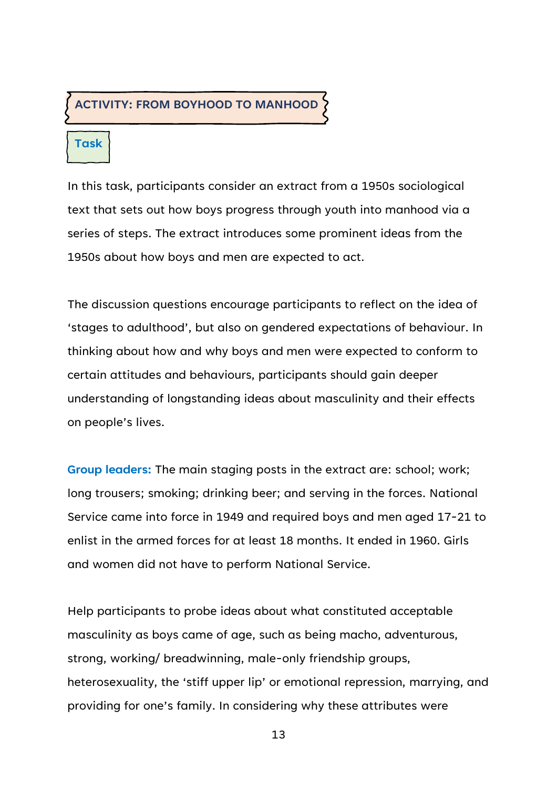#### **ACTIVITY: FROM BOYHOOD TO MANHOOD**

#### **Task**

In this task, participants consider an extract from a 1950s sociological text that sets out how boys progress through youth into manhood via a series of steps. The extract introduces some prominent ideas from the 1950s about how boys and men are expected to act.

The discussion questions encourage participants to reflect on the idea of 'stages to adulthood', but also on gendered expectations of behaviour. In thinking about how and why boys and men were expected to conform to certain attitudes and behaviours, participants should gain deeper understanding of longstanding ideas about masculinity and their effects on people's lives.

**Group leaders:** The main staging posts in the extract are: school; work; long trousers; smoking; drinking beer; and serving in the forces. National Service came into force in 1949 and required boys and men aged 17-21 to enlist in the armed forces for at least 18 months. It ended in 1960. Girls and women did not have to perform National Service.

Help participants to probe ideas about what constituted acceptable masculinity as boys came of age, such as being macho, adventurous, strong, working/ breadwinning, male-only friendship groups, heterosexuality, the 'stiff upper lip' or emotional repression, marrying, and providing for one's family. In considering why these attributes were